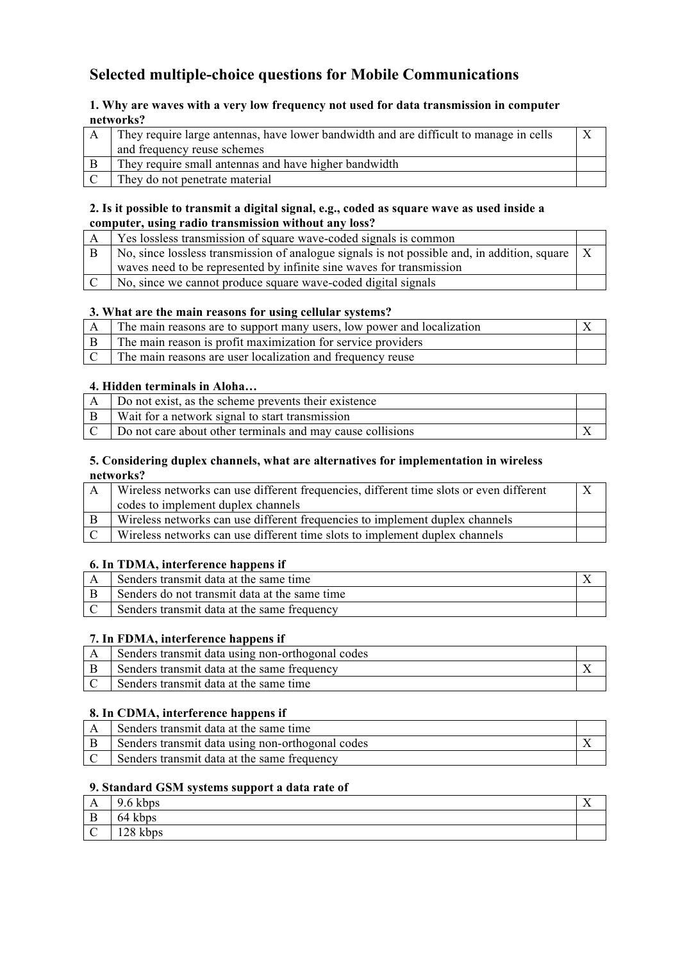# **Selected multiple-choice questions for Mobile Communications**

#### **1. Why are waves with a very low frequency not used for data transmission in computer networks?**

| They require large antennas, have lower bandwidth and are difficult to manage in cells |  |
|----------------------------------------------------------------------------------------|--|
| and frequency reuse schemes                                                            |  |
| They require small antennas and have higher bandwidth                                  |  |
| They do not penetrate material                                                         |  |

#### **2. Is it possible to transmit a digital signal, e.g., coded as square wave as used inside a computer, using radio transmission without any loss?**

| Yes lossless transmission of square wave-coded signals is common                                           |  |
|------------------------------------------------------------------------------------------------------------|--|
| No, since lossless transmission of analogue signals is not possible and, in addition, square $\mid X \mid$ |  |
| waves need to be represented by infinite sine waves for transmission                                       |  |
| No, since we cannot produce square wave-coded digital signals                                              |  |

#### **3. What are the main reasons for using cellular systems?**

| The main reasons are to support many users, low power and localization |  |
|------------------------------------------------------------------------|--|
| The main reason is profit maximization for service providers           |  |
| $C$ The main reasons are user localization and frequency reuse         |  |

#### **4. Hidden terminals in Aloha…**

| Do not exist, as the scheme prevents their existence                     |  |
|--------------------------------------------------------------------------|--|
| Wait for a network signal to start transmission                          |  |
| $\mathcal{C}$ Do not care about other terminals and may cause collisions |  |

#### **5. Considering duplex channels, what are alternatives for implementation in wireless networks?**

| Wireless networks can use different frequencies, different time slots or even different | Х |
|-----------------------------------------------------------------------------------------|---|
| codes to implement duplex channels                                                      |   |
| Wireless networks can use different frequencies to implement duplex channels            |   |
| Wireless networks can use different time slots to implement duplex channels             |   |

## **6. In TDMA, interference happens if**

| Senders transmit data at the same time        |  |
|-----------------------------------------------|--|
| Senders do not transmit data at the same time |  |
| Senders transmit data at the same frequency   |  |

## **7. In FDMA, interference happens if**

| Senders transmit data using non-orthogonal codes     |  |
|------------------------------------------------------|--|
| Senders transmit data at the same frequency          |  |
| $C \parallel$ Senders transmit data at the same time |  |

## **8. In CDMA, interference happens if**

| Senders transmit data at the same time           |  |
|--------------------------------------------------|--|
| Senders transmit data using non-orthogonal codes |  |
| Senders transmit data at the same frequency      |  |

## **9. Standard GSM systems support a data rate of**

| $\mathbf{L}$      | $\sim$<br>---<br><b>u</b><br><b>KUPS</b>    | ∡⊾ |
|-------------------|---------------------------------------------|----|
| D<br>$\mathbf{D}$ | $\sim$ $\sim$<br>$-mn$<br>64<br><b>AUDS</b> |    |
| $\sqrt{ }$<br>╰   | $\bigcap$ 0 1.1<br>kbps<br>$\sim$           |    |